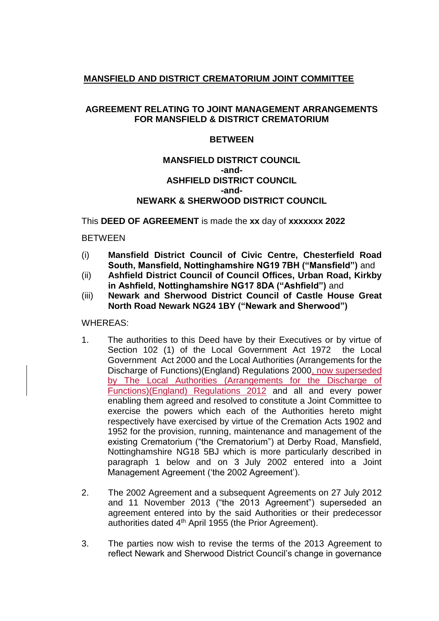## **MANSFIELD AND DISTRICT CREMATORIUM JOINT COMMITTEE**

## **AGREEMENT RELATING TO JOINT MANAGEMENT ARRANGEMENTS FOR MANSFIELD & DISTRICT CREMATORIUM**

#### **BETWEEN**

#### **MANSFIELD DISTRICT COUNCIL -and-ASHFIELD DISTRICT COUNCIL -and-NEWARK & SHERWOOD DISTRICT COUNCIL**

This **DEED OF AGREEMENT** is made the **xx** day of **xxxxxxx 2022**

**BETWEEN** 

- (i) **Mansfield District Council of Civic Centre, Chesterfield Road South, Mansfield, Nottinghamshire NG19 7BH ("Mansfield")** and
- (ii) **Ashfield District Council of Council Offices, Urban Road, Kirkby in Ashfield, Nottinghamshire NG17 8DA ("Ashfield")** and
- (iii) **Newark and Sherwood District Council of Castle House Great North Road Newark NG24 1BY ("Newark and Sherwood")**

WHEREAS:

- 1. The authorities to this Deed have by their Executives or by virtue of Section 102 (1) of the Local Government Act 1972 the Local Government Act 2000 and the Local Authorities (Arrangements for the Discharge of Functions)(England) Regulations 2000, now superseded by The Local Authorities (Arrangements for the Discharge of Functions)(England) Regulations 2012 and all and every power enabling them agreed and resolved to constitute a Joint Committee to exercise the powers which each of the Authorities hereto might respectively have exercised by virtue of the Cremation Acts 1902 and 1952 for the provision, running, maintenance and management of the existing Crematorium ("the Crematorium") at Derby Road, Mansfield, Nottinghamshire NG18 5BJ which is more particularly described in paragraph 1 below and on 3 July 2002 entered into a Joint Management Agreement ('the 2002 Agreement').
- 2. The 2002 Agreement and a subsequent Agreements on 27 July 2012 and 11 November 2013 ("the 2013 Agreement") superseded an agreement entered into by the said Authorities or their predecessor authorities dated 4th April 1955 (the Prior Agreement).
- 3. The parties now wish to revise the terms of the 2013 Agreement to reflect Newark and Sherwood District Council's change in governance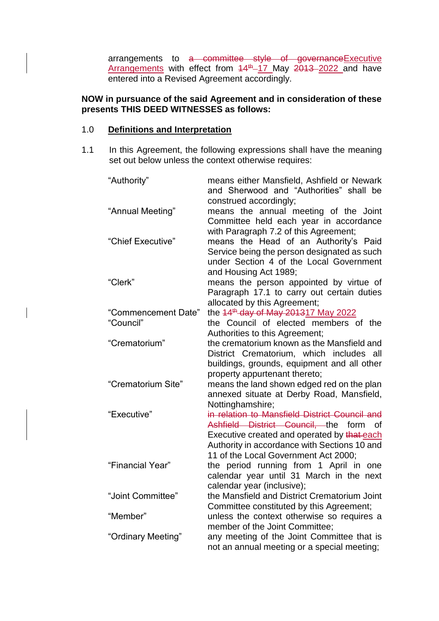arrangements to a committee style of governance Executive Arrangements with effect from  $14<sup>th</sup>$ -17 May  $2013$ -2022 and have entered into a Revised Agreement accordingly.

## **NOW in pursuance of the said Agreement and in consideration of these presents THIS DEED WITNESSES as follows:**

#### 1.0 **Definitions and Interpretation**

1.1 In this Agreement, the following expressions shall have the meaning set out below unless the context otherwise requires:

| "Authority"         | means either Mansfield, Ashfield or Newark<br>and Sherwood and "Authorities" shall be<br>construed accordingly;                                          |
|---------------------|----------------------------------------------------------------------------------------------------------------------------------------------------------|
| "Annual Meeting"    | means the annual meeting of the Joint<br>Committee held each year in accordance<br>with Paragraph 7.2 of this Agreement;                                 |
| "Chief Executive"   | means the Head of an Authority's Paid<br>Service being the person designated as such<br>under Section 4 of the Local Government<br>and Housing Act 1989; |
| "Clerk"             | means the person appointed by virtue of<br>Paragraph 17.1 to carry out certain duties<br>allocated by this Agreement;                                    |
| "Commencement Date" | the 44 <sup>th</sup> day of May 201317 May 2022                                                                                                          |
| "Council"           | the Council of elected members of the                                                                                                                    |
|                     | Authorities to this Agreement;                                                                                                                           |
| "Crematorium"       | the crematorium known as the Mansfield and                                                                                                               |
|                     | District Crematorium, which includes all                                                                                                                 |
|                     | buildings, grounds, equipment and all other                                                                                                              |
|                     | property appurtenant thereto;                                                                                                                            |
| "Crematorium Site"  | means the land shown edged red on the plan                                                                                                               |
|                     | annexed situate at Derby Road, Mansfield,                                                                                                                |
|                     | Nottinghamshire;                                                                                                                                         |
| "Executive"         | in relation to Mansfield District Council and                                                                                                            |
|                     | Ashfield District Council, the form<br>of                                                                                                                |
|                     | Executive created and operated by that each                                                                                                              |
|                     | Authority in accordance with Sections 10 and                                                                                                             |
|                     | 11 of the Local Government Act 2000;                                                                                                                     |
| "Financial Year"    | the period running from 1 April in one                                                                                                                   |
|                     | calendar year until 31 March in the next                                                                                                                 |
|                     | calendar year (inclusive);                                                                                                                               |
| "Joint Committee"   | the Mansfield and District Crematorium Joint                                                                                                             |
|                     | Committee constituted by this Agreement;                                                                                                                 |
| "Member"            | unless the context otherwise so requires a                                                                                                               |
|                     | member of the Joint Committee;                                                                                                                           |
| "Ordinary Meeting"  | any meeting of the Joint Committee that is                                                                                                               |
|                     | not an annual meeting or a special meeting;                                                                                                              |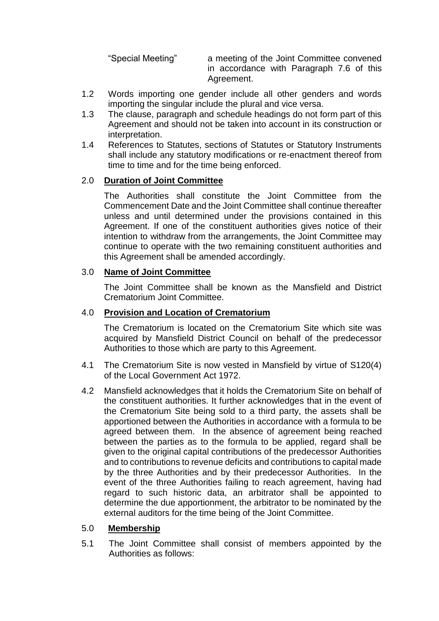"Special Meeting" a meeting of the Joint Committee convened in accordance with Paragraph 7.6 of this Agreement.

- 1.2 Words importing one gender include all other genders and words importing the singular include the plural and vice versa.
- 1.3 The clause, paragraph and schedule headings do not form part of this Agreement and should not be taken into account in its construction or interpretation.
- 1.4 References to Statutes, sections of Statutes or Statutory Instruments shall include any statutory modifications or re-enactment thereof from time to time and for the time being enforced.

## 2.0 **Duration of Joint Committee**

The Authorities shall constitute the Joint Committee from the Commencement Date and the Joint Committee shall continue thereafter unless and until determined under the provisions contained in this Agreement. If one of the constituent authorities gives notice of their intention to withdraw from the arrangements, the Joint Committee may continue to operate with the two remaining constituent authorities and this Agreement shall be amended accordingly.

## 3.0 **Name of Joint Committee**

The Joint Committee shall be known as the Mansfield and District Crematorium Joint Committee.

# 4.0 **Provision and Location of Crematorium**

The Crematorium is located on the Crematorium Site which site was acquired by Mansfield District Council on behalf of the predecessor Authorities to those which are party to this Agreement.

- 4.1 The Crematorium Site is now vested in Mansfield by virtue of S120(4) of the Local Government Act 1972.
- 4.2 Mansfield acknowledges that it holds the Crematorium Site on behalf of the constituent authorities. It further acknowledges that in the event of the Crematorium Site being sold to a third party, the assets shall be apportioned between the Authorities in accordance with a formula to be agreed between them. In the absence of agreement being reached between the parties as to the formula to be applied, regard shall be given to the original capital contributions of the predecessor Authorities and to contributions to revenue deficits and contributions to capital made by the three Authorities and by their predecessor Authorities. In the event of the three Authorities failing to reach agreement, having had regard to such historic data, an arbitrator shall be appointed to determine the due apportionment, the arbitrator to be nominated by the external auditors for the time being of the Joint Committee.

#### 5.0 **Membership**

5.1 The Joint Committee shall consist of members appointed by the Authorities as follows: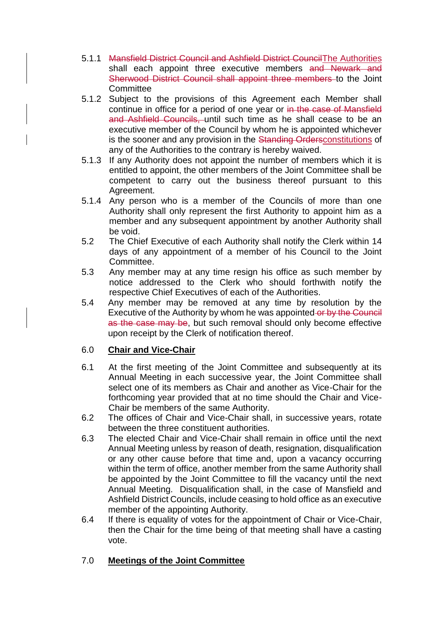- 5.1.1 Mansfield District Council and Ashfield District CouncilThe Authorities shall each appoint three executive members and Newark and Sherwood District Council shall appoint three members to the Joint **Committee**
- 5.1.2 Subject to the provisions of this Agreement each Member shall continue in office for a period of one year or in the case of Mansfield and Ashfield Councils, until such time as he shall cease to be an executive member of the Council by whom he is appointed whichever is the sooner and any provision in the Standing Ordersconstitutions of any of the Authorities to the contrary is hereby waived.
- 5.1.3 If any Authority does not appoint the number of members which it is entitled to appoint, the other members of the Joint Committee shall be competent to carry out the business thereof pursuant to this Agreement.
- 5.1.4 Any person who is a member of the Councils of more than one Authority shall only represent the first Authority to appoint him as a member and any subsequent appointment by another Authority shall be void.
- 5.2 The Chief Executive of each Authority shall notify the Clerk within 14 days of any appointment of a member of his Council to the Joint Committee.
- 5.3 Any member may at any time resign his office as such member by notice addressed to the Clerk who should forthwith notify the respective Chief Executives of each of the Authorities.
- 5.4 Any member may be removed at any time by resolution by the Executive of the Authority by whom he was appointed or by the Council as the case may be, but such removal should only become effective upon receipt by the Clerk of notification thereof.

# 6.0 **Chair and Vice-Chair**

- 6.1 At the first meeting of the Joint Committee and subsequently at its Annual Meeting in each successive year, the Joint Committee shall select one of its members as Chair and another as Vice-Chair for the forthcoming year provided that at no time should the Chair and Vice-Chair be members of the same Authority.
- 6.2 The offices of Chair and Vice-Chair shall, in successive years, rotate between the three constituent authorities.
- 6.3 The elected Chair and Vice-Chair shall remain in office until the next Annual Meeting unless by reason of death, resignation, disqualification or any other cause before that time and, upon a vacancy occurring within the term of office, another member from the same Authority shall be appointed by the Joint Committee to fill the vacancy until the next Annual Meeting. Disqualification shall, in the case of Mansfield and Ashfield District Councils, include ceasing to hold office as an executive member of the appointing Authority.
- 6.4 If there is equality of votes for the appointment of Chair or Vice-Chair, then the Chair for the time being of that meeting shall have a casting vote.

# 7.0 **Meetings of the Joint Committee**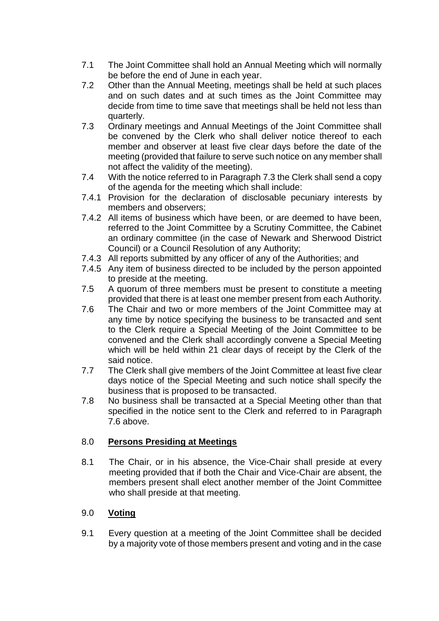- 7.1 The Joint Committee shall hold an Annual Meeting which will normally be before the end of June in each year.
- 7.2 Other than the Annual Meeting, meetings shall be held at such places and on such dates and at such times as the Joint Committee may decide from time to time save that meetings shall be held not less than quarterly.
- 7.3 Ordinary meetings and Annual Meetings of the Joint Committee shall be convened by the Clerk who shall deliver notice thereof to each member and observer at least five clear days before the date of the meeting (provided that failure to serve such notice on any member shall not affect the validity of the meeting).
- 7.4 With the notice referred to in Paragraph 7.3 the Clerk shall send a copy of the agenda for the meeting which shall include:
- 7.4.1 Provision for the declaration of disclosable pecuniary interests by members and observers;
- 7.4.2 All items of business which have been, or are deemed to have been, referred to the Joint Committee by a Scrutiny Committee, the Cabinet an ordinary committee (in the case of Newark and Sherwood District Council) or a Council Resolution of any Authority;
- 7.4.3 All reports submitted by any officer of any of the Authorities; and
- 7.4.5 Any item of business directed to be included by the person appointed to preside at the meeting.
- 7.5 A quorum of three members must be present to constitute a meeting provided that there is at least one member present from each Authority.
- 7.6 The Chair and two or more members of the Joint Committee may at any time by notice specifying the business to be transacted and sent to the Clerk require a Special Meeting of the Joint Committee to be convened and the Clerk shall accordingly convene a Special Meeting which will be held within 21 clear days of receipt by the Clerk of the said notice.
- 7.7 The Clerk shall give members of the Joint Committee at least five clear days notice of the Special Meeting and such notice shall specify the business that is proposed to be transacted.
- 7.8 No business shall be transacted at a Special Meeting other than that specified in the notice sent to the Clerk and referred to in Paragraph 7.6 above.

# 8.0 **Persons Presiding at Meetings**

8.1 The Chair, or in his absence, the Vice-Chair shall preside at every meeting provided that if both the Chair and Vice-Chair are absent, the members present shall elect another member of the Joint Committee who shall preside at that meeting.

# 9.0 **Voting**

9.1 Every question at a meeting of the Joint Committee shall be decided by a majority vote of those members present and voting and in the case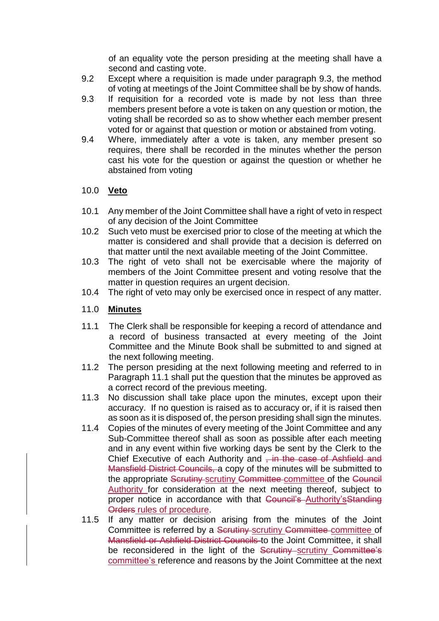of an equality vote the person presiding at the meeting shall have a second and casting vote.

- 9.2 Except where a requisition is made under paragraph 9.3, the method of voting at meetings of the Joint Committee shall be by show of hands.
- 9.3 If requisition for a recorded vote is made by not less than three members present before a vote is taken on any question or motion, the voting shall be recorded so as to show whether each member present voted for or against that question or motion or abstained from voting.
- 9.4 Where, immediately after a vote is taken, any member present so requires, there shall be recorded in the minutes whether the person cast his vote for the question or against the question or whether he abstained from voting

## 10.0 **Veto**

- 10.1 Any member of the Joint Committee shall have a right of veto in respect of any decision of the Joint Committee
- 10.2 Such veto must be exercised prior to close of the meeting at which the matter is considered and shall provide that a decision is deferred on that matter until the next available meeting of the Joint Committee.
- 10.3 The right of veto shall not be exercisable where the majority of members of the Joint Committee present and voting resolve that the matter in question requires an urgent decision.
- 10.4 The right of veto may only be exercised once in respect of any matter.

## 11.0 **Minutes**

- 11.1 The Clerk shall be responsible for keeping a record of attendance and a record of business transacted at every meeting of the Joint Committee and the Minute Book shall be submitted to and signed at the next following meeting.
- 11.2 The person presiding at the next following meeting and referred to in Paragraph 11.1 shall put the question that the minutes be approved as a correct record of the previous meeting.
- 11.3 No discussion shall take place upon the minutes, except upon their accuracy. If no question is raised as to accuracy or, if it is raised then as soon as it is disposed of, the person presiding shall sign the minutes.
- 11.4 Copies of the minutes of every meeting of the Joint Committee and any Sub-Committee thereof shall as soon as possible after each meeting and in any event within five working days be sent by the Clerk to the Chief Executive of each Authority and  $\frac{1}{2}$  in the case of Ashfield and Mansfield District Councils, a copy of the minutes will be submitted to the appropriate Scrutiny-scrutiny Committee-committee of the Council Authority for consideration at the next meeting thereof, subject to proper notice in accordance with that Council's Authority's Standing Orders rules of procedure.
- 11.5 If any matter or decision arising from the minutes of the Joint Committee is referred by a Scrutiny scrutiny Committee committee of Mansfield or Ashfield District Councils to the Joint Committee, it shall be reconsidered in the light of the Scrutiny scrutiny Committee's committee's reference and reasons by the Joint Committee at the next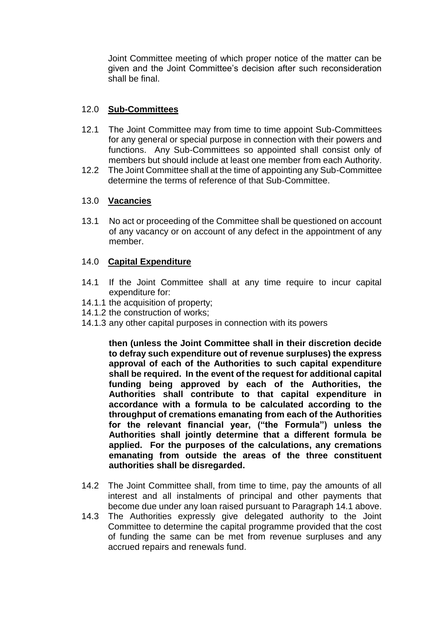Joint Committee meeting of which proper notice of the matter can be given and the Joint Committee's decision after such reconsideration shall be final.

## 12.0 **Sub-Committees**

- 12.1 The Joint Committee may from time to time appoint Sub-Committees for any general or special purpose in connection with their powers and functions. Any Sub-Committees so appointed shall consist only of members but should include at least one member from each Authority.
- 12.2 The Joint Committee shall at the time of appointing any Sub-Committee determine the terms of reference of that Sub-Committee.

## 13.0 **Vacancies**

13.1 No act or proceeding of the Committee shall be questioned on account of any vacancy or on account of any defect in the appointment of any member.

## 14.0 **Capital Expenditure**

- 14.1 If the Joint Committee shall at any time require to incur capital expenditure for:
- 14.1.1 the acquisition of property;
- 14.1.2 the construction of works;
- 14.1.3 any other capital purposes in connection with its powers

**then (unless the Joint Committee shall in their discretion decide to defray such expenditure out of revenue surpluses) the express approval of each of the Authorities to such capital expenditure shall be required. In the event of the request for additional capital funding being approved by each of the Authorities, the Authorities shall contribute to that capital expenditure in accordance with a formula to be calculated according to the throughput of cremations emanating from each of the Authorities for the relevant financial year, ("the Formula") unless the Authorities shall jointly determine that a different formula be applied. For the purposes of the calculations, any cremations emanating from outside the areas of the three constituent authorities shall be disregarded.**

- 14.2 The Joint Committee shall, from time to time, pay the amounts of all interest and all instalments of principal and other payments that become due under any loan raised pursuant to Paragraph 14.1 above.
- 14.3 The Authorities expressly give delegated authority to the Joint Committee to determine the capital programme provided that the cost of funding the same can be met from revenue surpluses and any accrued repairs and renewals fund.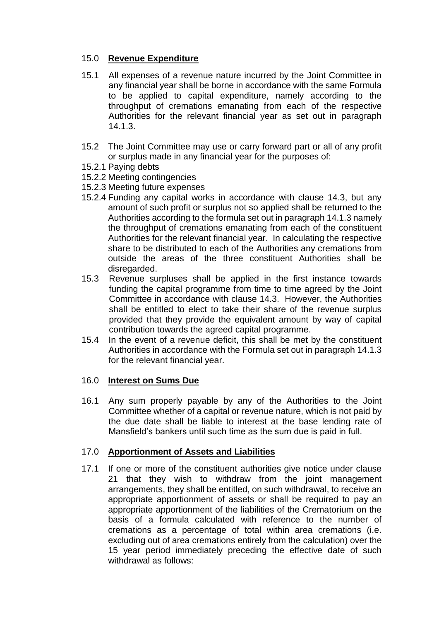# 15.0 **Revenue Expenditure**

- 15.1 All expenses of a revenue nature incurred by the Joint Committee in any financial year shall be borne in accordance with the same Formula to be applied to capital expenditure, namely according to the throughput of cremations emanating from each of the respective Authorities for the relevant financial year as set out in paragraph 14.1.3.
- 15.2 The Joint Committee may use or carry forward part or all of any profit or surplus made in any financial year for the purposes of:
- 15.2.1 Paying debts
- 15.2.2 Meeting contingencies
- 15.2.3 Meeting future expenses
- 15.2.4 Funding any capital works in accordance with clause 14.3, but any amount of such profit or surplus not so applied shall be returned to the Authorities according to the formula set out in paragraph 14.1.3 namely the throughput of cremations emanating from each of the constituent Authorities for the relevant financial year. In calculating the respective share to be distributed to each of the Authorities any cremations from outside the areas of the three constituent Authorities shall be disregarded.
- 15.3 Revenue surpluses shall be applied in the first instance towards funding the capital programme from time to time agreed by the Joint Committee in accordance with clause 14.3. However, the Authorities shall be entitled to elect to take their share of the revenue surplus provided that they provide the equivalent amount by way of capital contribution towards the agreed capital programme.
- 15.4 In the event of a revenue deficit, this shall be met by the constituent Authorities in accordance with the Formula set out in paragraph 14.1.3 for the relevant financial year.

#### 16.0 **Interest on Sums Due**

16.1 Any sum properly payable by any of the Authorities to the Joint Committee whether of a capital or revenue nature, which is not paid by the due date shall be liable to interest at the base lending rate of Mansfield's bankers until such time as the sum due is paid in full.

#### 17.0 **Apportionment of Assets and Liabilities**

17.1 If one or more of the constituent authorities give notice under clause 21 that they wish to withdraw from the joint management arrangements, they shall be entitled, on such withdrawal, to receive an appropriate apportionment of assets or shall be required to pay an appropriate apportionment of the liabilities of the Crematorium on the basis of a formula calculated with reference to the number of cremations as a percentage of total within area cremations (i.e. excluding out of area cremations entirely from the calculation) over the 15 year period immediately preceding the effective date of such withdrawal as follows: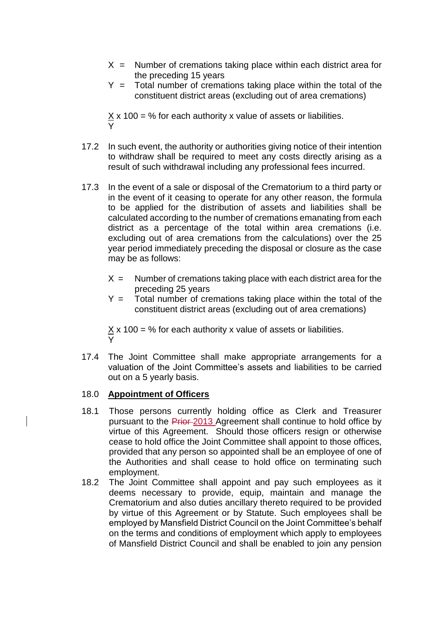- $X =$  Number of cremations taking place within each district area for the preceding 15 years
- $Y =$  Total number of cremations taking place within the total of the constituent district areas (excluding out of area cremations)

 $\underline{X}$  x 100 = % for each authority x value of assets or liabilities. Y

- 17.2 In such event, the authority or authorities giving notice of their intention to withdraw shall be required to meet any costs directly arising as a result of such withdrawal including any professional fees incurred.
- 17.3 In the event of a sale or disposal of the Crematorium to a third party or in the event of it ceasing to operate for any other reason, the formula to be applied for the distribution of assets and liabilities shall be calculated according to the number of cremations emanating from each district as a percentage of the total within area cremations (i.e. excluding out of area cremations from the calculations) over the 25 year period immediately preceding the disposal or closure as the case may be as follows:
	- $X =$  Number of cremations taking place with each district area for the preceding 25 years
	- $Y =$  Total number of cremations taking place within the total of the constituent district areas (excluding out of area cremations)

 $\times$  x 100 = % for each authority x value of assets or liabilities. Y

17.4 The Joint Committee shall make appropriate arrangements for a valuation of the Joint Committee's assets and liabilities to be carried out on a 5 yearly basis.

#### 18.0 **Appointment of Officers**

- 18.1 Those persons currently holding office as Clerk and Treasurer pursuant to the Prior 2013 Agreement shall continue to hold office by virtue of this Agreement. Should those officers resign or otherwise cease to hold office the Joint Committee shall appoint to those offices, provided that any person so appointed shall be an employee of one of the Authorities and shall cease to hold office on terminating such employment.
- 18.2 The Joint Committee shall appoint and pay such employees as it deems necessary to provide, equip, maintain and manage the Crematorium and also duties ancillary thereto required to be provided by virtue of this Agreement or by Statute. Such employees shall be employed by Mansfield District Council on the Joint Committee's behalf on the terms and conditions of employment which apply to employees of Mansfield District Council and shall be enabled to join any pension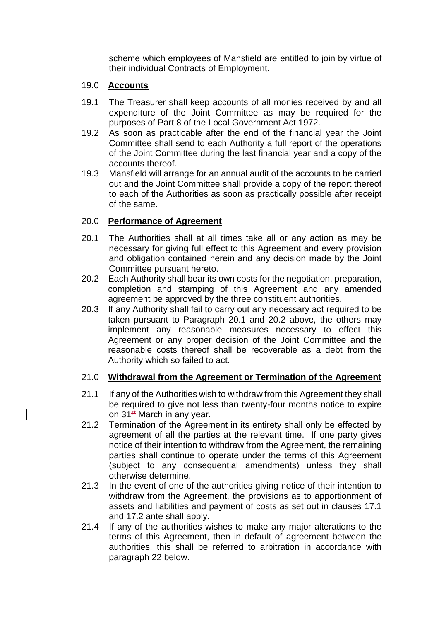scheme which employees of Mansfield are entitled to join by virtue of their individual Contracts of Employment.

## 19.0 **Accounts**

- 19.1 The Treasurer shall keep accounts of all monies received by and all expenditure of the Joint Committee as may be required for the purposes of Part 8 of the Local Government Act 1972.
- 19.2 As soon as practicable after the end of the financial year the Joint Committee shall send to each Authority a full report of the operations of the Joint Committee during the last financial year and a copy of the accounts thereof.
- 19.3 Mansfield will arrange for an annual audit of the accounts to be carried out and the Joint Committee shall provide a copy of the report thereof to each of the Authorities as soon as practically possible after receipt of the same.

## 20.0 **Performance of Agreement**

- 20.1 The Authorities shall at all times take all or any action as may be necessary for giving full effect to this Agreement and every provision and obligation contained herein and any decision made by the Joint Committee pursuant hereto.
- 20.2 Each Authority shall bear its own costs for the negotiation, preparation, completion and stamping of this Agreement and any amended agreement be approved by the three constituent authorities.
- 20.3 If any Authority shall fail to carry out any necessary act required to be taken pursuant to Paragraph 20.1 and 20.2 above, the others may implement any reasonable measures necessary to effect this Agreement or any proper decision of the Joint Committee and the reasonable costs thereof shall be recoverable as a debt from the Authority which so failed to act.

# 21.0 **Withdrawal from the Agreement or Termination of the Agreement**

- 21.1 If any of the Authorities wish to withdraw from this Agreement they shall be required to give not less than twenty-four months notice to expire on  $31<sup>st</sup>$  March in any year.
- 21.2 Termination of the Agreement in its entirety shall only be effected by agreement of all the parties at the relevant time. If one party gives notice of their intention to withdraw from the Agreement, the remaining parties shall continue to operate under the terms of this Agreement (subject to any consequential amendments) unless they shall otherwise determine.
- 21.3 In the event of one of the authorities giving notice of their intention to withdraw from the Agreement, the provisions as to apportionment of assets and liabilities and payment of costs as set out in clauses 17.1 and 17.2 ante shall apply.
- 21.4 If any of the authorities wishes to make any major alterations to the terms of this Agreement, then in default of agreement between the authorities, this shall be referred to arbitration in accordance with paragraph 22 below.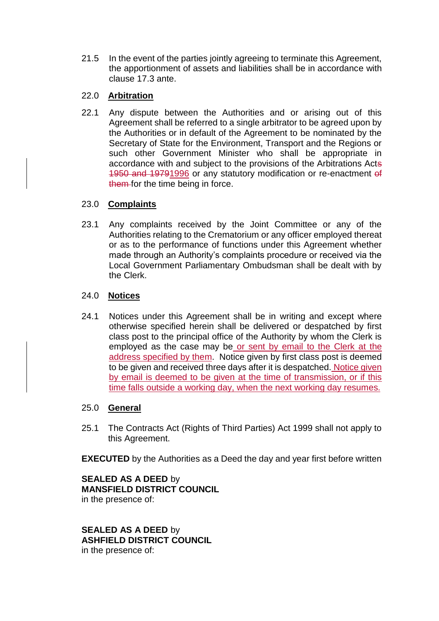21.5 In the event of the parties jointly agreeing to terminate this Agreement, the apportionment of assets and liabilities shall be in accordance with clause 17.3 ante.

# 22.0 **Arbitration**

22.1 Any dispute between the Authorities and or arising out of this Agreement shall be referred to a single arbitrator to be agreed upon by the Authorities or in default of the Agreement to be nominated by the Secretary of State for the Environment, Transport and the Regions or such other Government Minister who shall be appropriate in accordance with and subject to the provisions of the Arbitrations Acts 1950 and 19791996 or any statutory modification or re-enactment of them for the time being in force.

# 23.0 **Complaints**

23.1 Any complaints received by the Joint Committee or any of the Authorities relating to the Crematorium or any officer employed thereat or as to the performance of functions under this Agreement whether made through an Authority's complaints procedure or received via the Local Government Parliamentary Ombudsman shall be dealt with by the Clerk.

# 24.0 **Notices**

24.1 Notices under this Agreement shall be in writing and except where otherwise specified herein shall be delivered or despatched by first class post to the principal office of the Authority by whom the Clerk is employed as the case may be or sent by email to the Clerk at the address specified by them. Notice given by first class post is deemed to be given and received three days after it is despatched. Notice given by email is deemed to be given at the time of transmission, or if this time falls outside a working day, when the next working day resumes.

# 25.0 **General**

25.1 The Contracts Act (Rights of Third Parties) Act 1999 shall not apply to this Agreement.

**EXECUTED** by the Authorities as a Deed the day and year first before written

**SEALED AS A DEED** by **MANSFIELD DISTRICT COUNCIL**  in the presence of:

**SEALED AS A DEED** by **ASHFIELD DISTRICT COUNCIL** in the presence of: